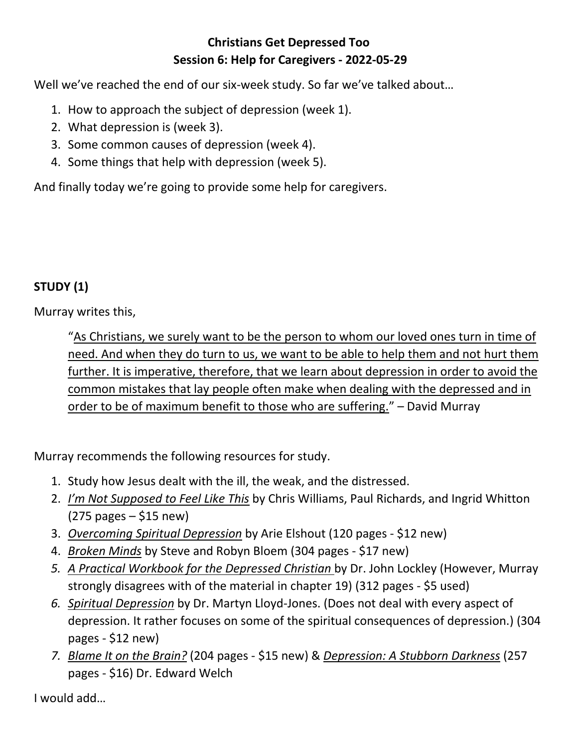## **Christians Get Depressed Too Session 6: Help for Caregivers - 2022-05-29**

Well we've reached the end of our six-week study. So far we've talked about…

- 1. How to approach the subject of depression (week 1).
- 2. What depression is (week 3).
- 3. Some common causes of depression (week 4).
- 4. Some things that help with depression (week 5).

And finally today we're going to provide some help for caregivers.

# **STUDY (1)**

Murray writes this,

"As Christians, we surely want to be the person to whom our loved ones turn in time of need. And when they do turn to us, we want to be able to help them and not hurt them further. It is imperative, therefore, that we learn about depression in order to avoid the common mistakes that lay people often make when dealing with the depressed and in order to be of maximum benefit to those who are suffering." – David Murray

Murray recommends the following resources for study.

- 1. Study how Jesus dealt with the ill, the weak, and the distressed.
- 2. *I'm Not Supposed to Feel Like This* by Chris Williams, Paul Richards, and Ingrid Whitton  $(275 \text{ pages} - $15 \text{ new})$
- 3. *Overcoming Spiritual Depression* by Arie Elshout (120 pages \$12 new)
- 4. *Broken Minds* by Steve and Robyn Bloem (304 pages \$17 new)
- *5. A Practical Workbook for the Depressed Christian* by Dr. John Lockley (However, Murray strongly disagrees with of the material in chapter 19) (312 pages - \$5 used)
- *6. Spiritual Depression* by Dr. Martyn Lloyd-Jones. (Does not deal with every aspect of depression. It rather focuses on some of the spiritual consequences of depression.) (304 pages - \$12 new)
- *7. Blame It on the Brain?* (204 pages \$15 new) & *Depression: A Stubborn Darkness* (257 pages - \$16) Dr. Edward Welch

I would add…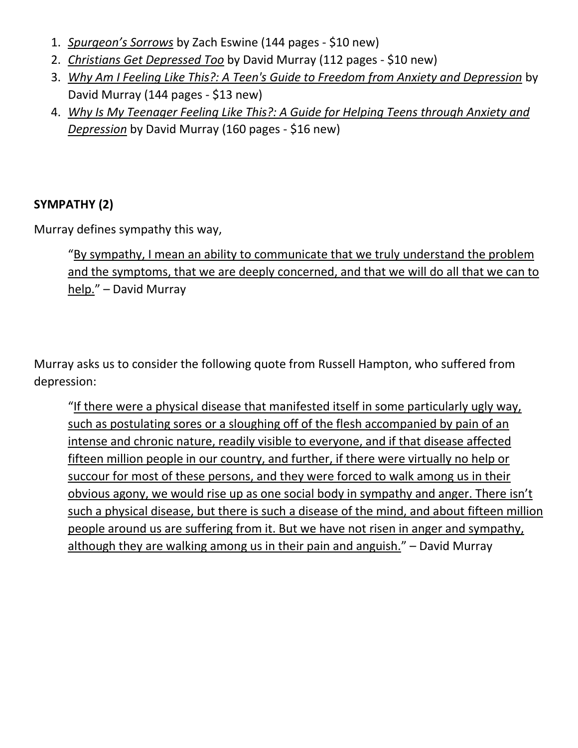- 1. *Spurgeon's Sorrows* by Zach Eswine (144 pages \$10 new)
- 2. *Christians Get Depressed Too* by David Murray (112 pages \$10 new)
- 3. *Why Am I Feeling Like This?: A Teen's Guide to Freedom from Anxiety and Depression* by David Murray (144 pages - \$13 new)
- 4. *Why Is My Teenager Feeling Like This?: A Guide for Helping Teens through Anxiety and Depression* by David Murray (160 pages - \$16 new)

#### **SYMPATHY (2)**

Murray defines sympathy this way,

"By sympathy, I mean an ability to communicate that we truly understand the problem and the symptoms, that we are deeply concerned, and that we will do all that we can to help." – David Murray

Murray asks us to consider the following quote from Russell Hampton, who suffered from depression:

"If there were a physical disease that manifested itself in some particularly ugly way, such as postulating sores or a sloughing off of the flesh accompanied by pain of an intense and chronic nature, readily visible to everyone, and if that disease affected fifteen million people in our country, and further, if there were virtually no help or succour for most of these persons, and they were forced to walk among us in their obvious agony, we would rise up as one social body in sympathy and anger. There isn't such a physical disease, but there is such a disease of the mind, and about fifteen million people around us are suffering from it. But we have not risen in anger and sympathy, although they are walking among us in their pain and anguish." – David Murray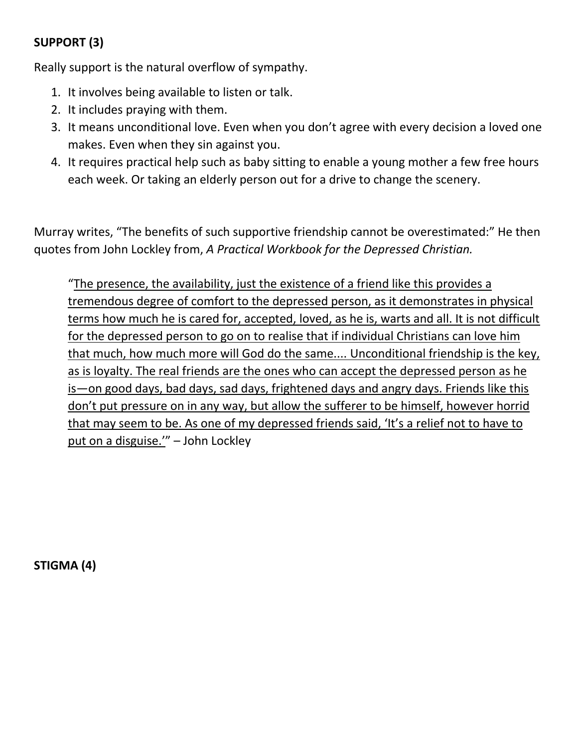# **SUPPORT (3)**

Really support is the natural overflow of sympathy.

- 1. It involves being available to listen or talk.
- 2. It includes praying with them.
- 3. It means unconditional love. Even when you don't agree with every decision a loved one makes. Even when they sin against you.
- 4. It requires practical help such as baby sitting to enable a young mother a few free hours each week. Or taking an elderly person out for a drive to change the scenery.

Murray writes, "The benefits of such supportive friendship cannot be overestimated:" He then quotes from John Lockley from, *A Practical Workbook for the Depressed Christian.*

"The presence, the availability, just the existence of a friend like this provides a tremendous degree of comfort to the depressed person, as it demonstrates in physical terms how much he is cared for, accepted, loved, as he is, warts and all. It is not difficult for the depressed person to go on to realise that if individual Christians can love him that much, how much more will God do the same.... Unconditional friendship is the key, as is loyalty. The real friends are the ones who can accept the depressed person as he is—on good days, bad days, sad days, frightened days and angry days. Friends like this don't put pressure on in any way, but allow the sufferer to be himself, however horrid that may seem to be. As one of my depressed friends said, 'It's a relief not to have to put on a disguise.'" – John Lockley

**STIGMA (4)**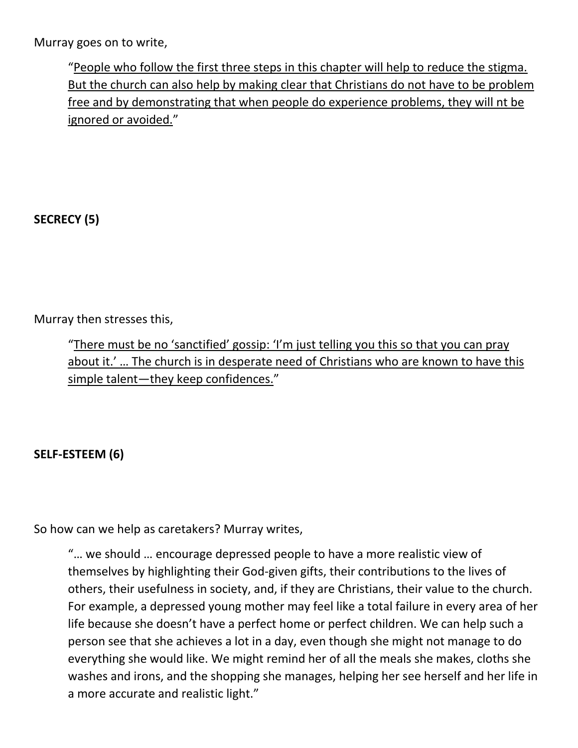Murray goes on to write,

"People who follow the first three steps in this chapter will help to reduce the stigma. But the church can also help by making clear that Christians do not have to be problem free and by demonstrating that when people do experience problems, they will nt be ignored or avoided."

**SECRECY (5)**

Murray then stresses this,

"There must be no 'sanctified' gossip: 'I'm just telling you this so that you can pray about it.' ... The church is in desperate need of Christians who are known to have this simple talent—they keep confidences."

### **SELF-ESTEEM (6)**

So how can we help as caretakers? Murray writes,

"… we should … encourage depressed people to have a more realistic view of themselves by highlighting their God-given gifts, their contributions to the lives of others, their usefulness in society, and, if they are Christians, their value to the church. For example, a depressed young mother may feel like a total failure in every area of her life because she doesn't have a perfect home or perfect children. We can help such a person see that she achieves a lot in a day, even though she might not manage to do everything she would like. We might remind her of all the meals she makes, cloths she washes and irons, and the shopping she manages, helping her see herself and her life in a more accurate and realistic light."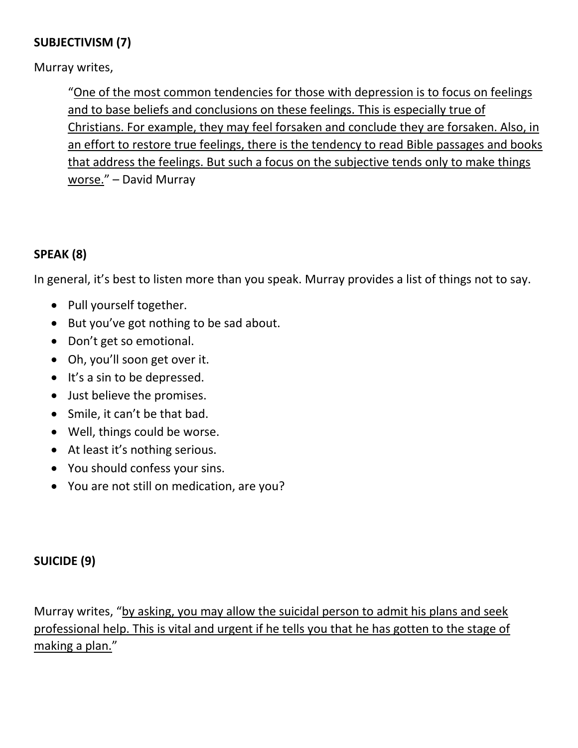### **SUBJECTIVISM (7)**

Murray writes,

"One of the most common tendencies for those with depression is to focus on feelings and to base beliefs and conclusions on these feelings. This is especially true of Christians. For example, they may feel forsaken and conclude they are forsaken. Also, in an effort to restore true feelings, there is the tendency to read Bible passages and books that address the feelings. But such a focus on the subjective tends only to make things worse." – David Murray

# **SPEAK (8)**

In general, it's best to listen more than you speak. Murray provides a list of things not to say.

- Pull yourself together.
- But you've got nothing to be sad about.
- Don't get so emotional.
- Oh, you'll soon get over it.
- $\bullet$  It's a sin to be depressed.
- Just believe the promises.
- Smile, it can't be that bad.
- Well, things could be worse.
- At least it's nothing serious.
- You should confess your sins.
- You are not still on medication, are you?

### **SUICIDE (9)**

Murray writes, "by asking, you may allow the suicidal person to admit his plans and seek professional help. This is vital and urgent if he tells you that he has gotten to the stage of making a plan."